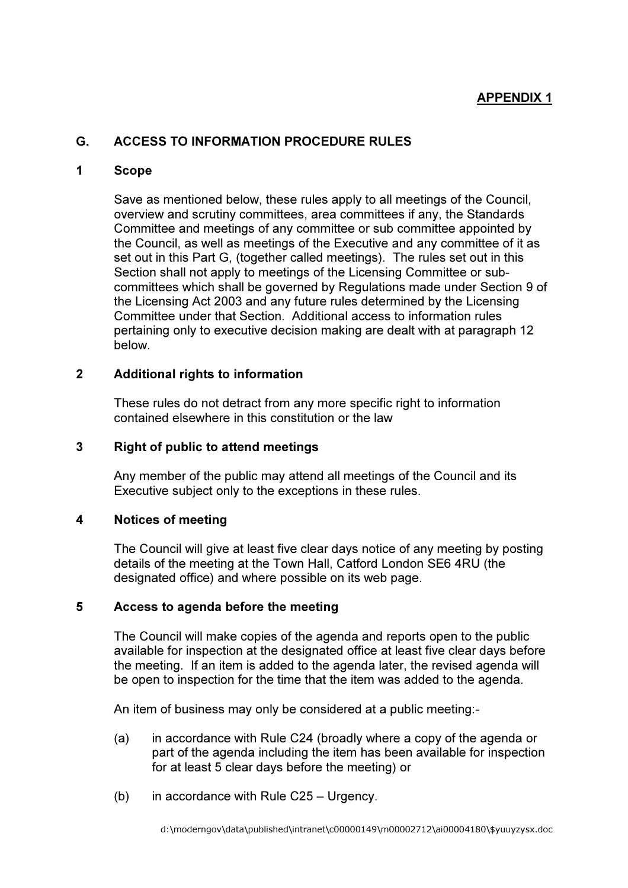# APPENDIX 1

## G. ACCESS TO INFORMATION PROCEDURE RULES

### 1 Scope

Save as mentioned below, these rules apply to all meetings of the Council, overview and scrutiny committees, area committees if any, the Standards Committee and meetings of any committee or sub committee appointed by the Council, as well as meetings of the Executive and any committee of it as set out in this Part G, (together called meetings). The rules set out in this Section shall not apply to meetings of the Licensing Committee or subcommittees which shall be governed by Regulations made under Section 9 of the Licensing Act 2003 and any future rules determined by the Licensing Committee under that Section. Additional access to information rules pertaining only to executive decision making are dealt with at paragraph 12 below.

## 2 Additional rights to information

These rules do not detract from any more specific right to information contained elsewhere in this constitution or the law

### 3 Right of public to attend meetings

Any member of the public may attend all meetings of the Council and its Executive subject only to the exceptions in these rules.

#### 4 Notices of meeting

The Council will give at least five clear days notice of any meeting by posting details of the meeting at the Town Hall, Catford London SE6 4RU (the designated office) and where possible on its web page.

### 5 Access to agenda before the meeting

The Council will make copies of the agenda and reports open to the public available for inspection at the designated office at least five clear days before the meeting. If an item is added to the agenda later, the revised agenda will be open to inspection for the time that the item was added to the agenda.

An item of business may only be considered at a public meeting:-

- (a) in accordance with Rule C24 (broadly where a copy of the agenda or part of the agenda including the item has been available for inspection for at least 5 clear days before the meeting) or
- (b) in accordance with Rule C25 Urgency.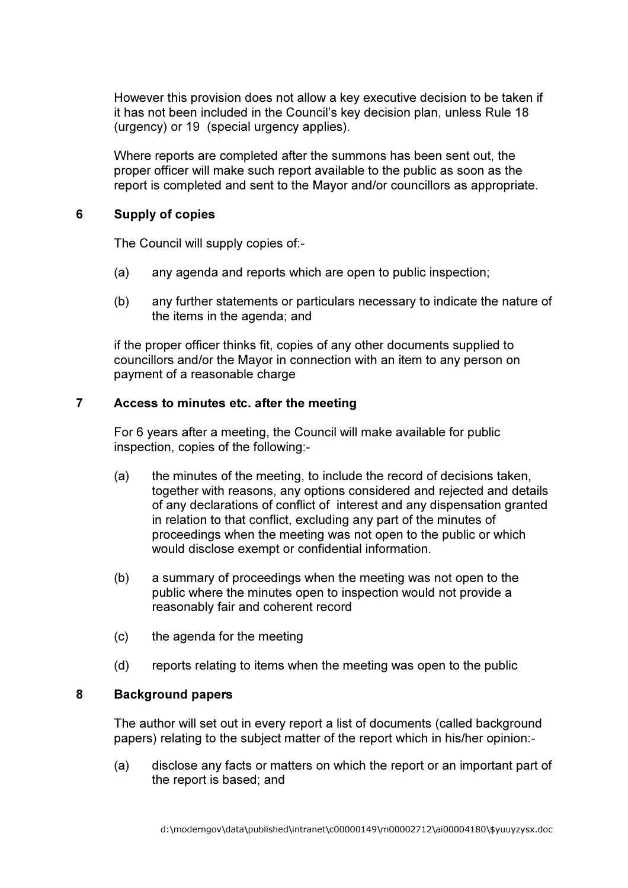However this provision does not allow a key executive decision to be taken if it has not been included in the Council's key decision plan, unless Rule 18 (urgency) or 19 (special urgency applies).

 Where reports are completed after the summons has been sent out, the proper officer will make such report available to the public as soon as the report is completed and sent to the Mayor and/or councillors as appropriate.

### 6 Supply of copies

The Council will supply copies of:-

- (a) any agenda and reports which are open to public inspection;
- (b) any further statements or particulars necessary to indicate the nature of the items in the agenda; and

if the proper officer thinks fit, copies of any other documents supplied to councillors and/or the Mayor in connection with an item to any person on payment of a reasonable charge

### 7 Access to minutes etc. after the meeting

For 6 years after a meeting, the Council will make available for public inspection, copies of the following:-

- (a) the minutes of the meeting, to include the record of decisions taken, together with reasons, any options considered and rejected and details of any declarations of conflict of interest and any dispensation granted in relation to that conflict, excluding any part of the minutes of proceedings when the meeting was not open to the public or which would disclose exempt or confidential information.
- (b) a summary of proceedings when the meeting was not open to the public where the minutes open to inspection would not provide a reasonably fair and coherent record
- (c) the agenda for the meeting
- (d) reports relating to items when the meeting was open to the public

## 8 Background papers

 The author will set out in every report a list of documents (called background papers) relating to the subject matter of the report which in his/her opinion:-

(a) disclose any facts or matters on which the report or an important part of the report is based; and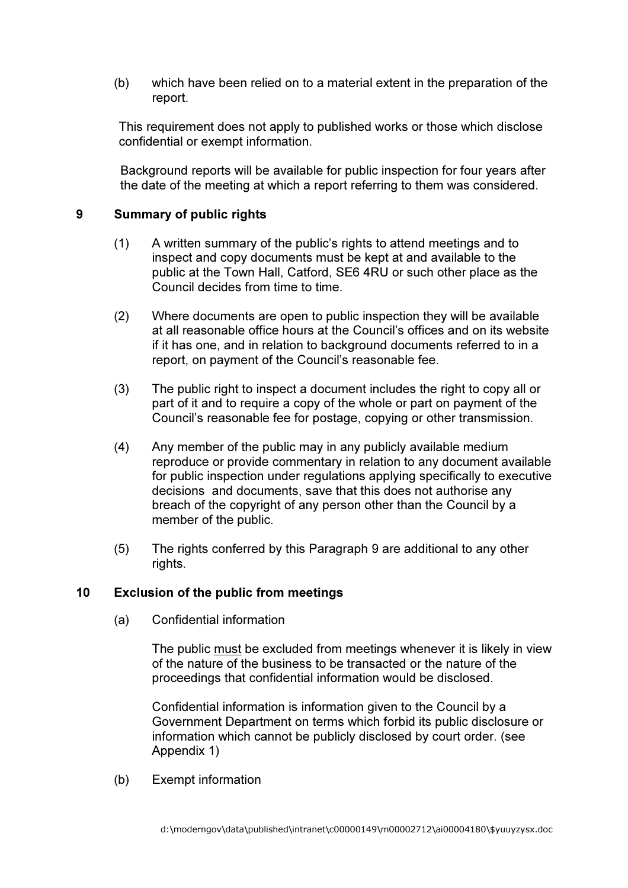(b) which have been relied on to a material extent in the preparation of the report.

This requirement does not apply to published works or those which disclose confidential or exempt information.

Background reports will be available for public inspection for four years after the date of the meeting at which a report referring to them was considered.

## 9 Summary of public rights

- (1) A written summary of the public's rights to attend meetings and to inspect and copy documents must be kept at and available to the public at the Town Hall, Catford, SE6 4RU or such other place as the Council decides from time to time.
- (2) Where documents are open to public inspection they will be available at all reasonable office hours at the Council's offices and on its website if it has one, and in relation to background documents referred to in a report, on payment of the Council's reasonable fee.
- (3) The public right to inspect a document includes the right to copy all or part of it and to require a copy of the whole or part on payment of the Council's reasonable fee for postage, copying or other transmission.
- (4) Any member of the public may in any publicly available medium reproduce or provide commentary in relation to any document available for public inspection under regulations applying specifically to executive decisions and documents, save that this does not authorise any breach of the copyright of any person other than the Council by a member of the public.
- (5) The rights conferred by this Paragraph 9 are additional to any other rights.

## 10 Exclusion of the public from meetings

(a) Confidential information

 The public must be excluded from meetings whenever it is likely in view of the nature of the business to be transacted or the nature of the proceedings that confidential information would be disclosed.

 Confidential information is information given to the Council by a Government Department on terms which forbid its public disclosure or information which cannot be publicly disclosed by court order. (see Appendix 1)

(b) Exempt information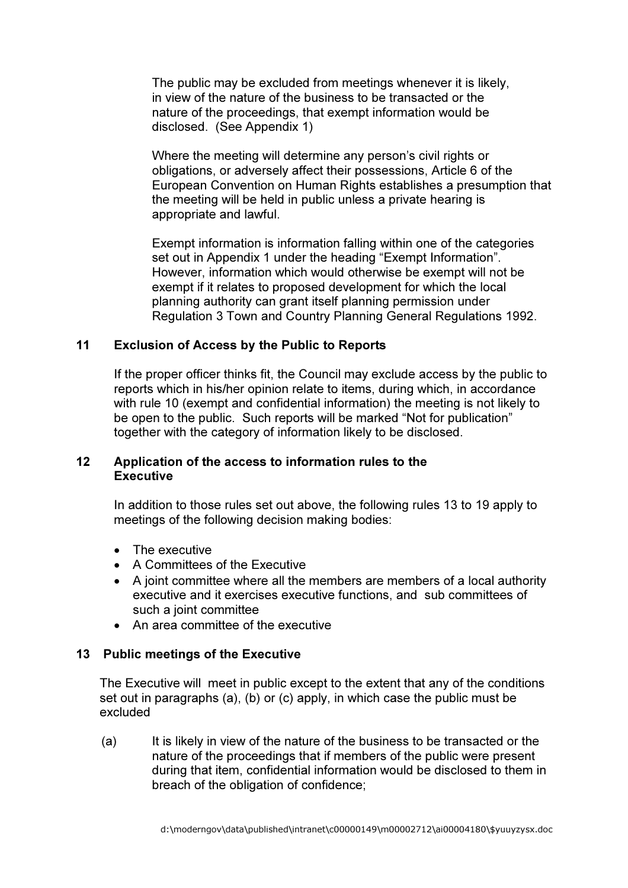The public may be excluded from meetings whenever it is likely, in view of the nature of the business to be transacted or the nature of the proceedings, that exempt information would be disclosed. (See Appendix 1)

 Where the meeting will determine any person's civil rights or obligations, or adversely affect their possessions, Article 6 of the European Convention on Human Rights establishes a presumption that the meeting will be held in public unless a private hearing is appropriate and lawful.

 Exempt information is information falling within one of the categories set out in Appendix 1 under the heading "Exempt Information". However, information which would otherwise be exempt will not be exempt if it relates to proposed development for which the local planning authority can grant itself planning permission under Regulation 3 Town and Country Planning General Regulations 1992.

## 11 Exclusion of Access by the Public to Reports

If the proper officer thinks fit, the Council may exclude access by the public to reports which in his/her opinion relate to items, during which, in accordance with rule 10 (exempt and confidential information) the meeting is not likely to be open to the public. Such reports will be marked "Not for publication" together with the category of information likely to be disclosed.

### 12 Application of the access to information rules to the **Executive**

In addition to those rules set out above, the following rules 13 to 19 apply to meetings of the following decision making bodies:

- The executive
- A Committees of the Executive
- A joint committee where all the members are members of a local authority executive and it exercises executive functions, and sub committees of such a joint committee
- An area committee of the executive

## 13 Public meetings of the Executive

 The Executive will meet in public except to the extent that any of the conditions set out in paragraphs (a), (b) or (c) apply, in which case the public must be excluded

(a) It is likely in view of the nature of the business to be transacted or the nature of the proceedings that if members of the public were present during that item, confidential information would be disclosed to them in breach of the obligation of confidence;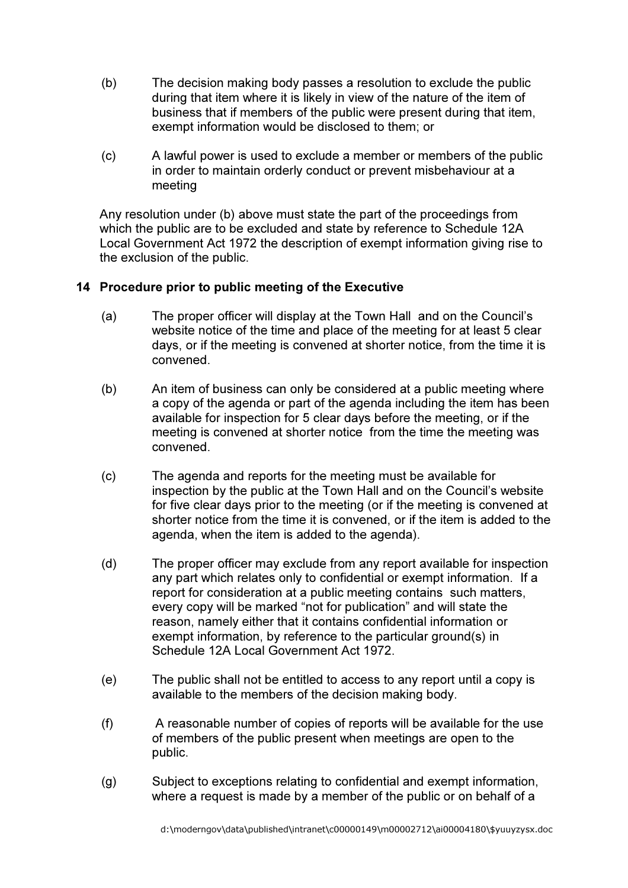- (b) The decision making body passes a resolution to exclude the public during that item where it is likely in view of the nature of the item of business that if members of the public were present during that item, exempt information would be disclosed to them; or
- (c) A lawful power is used to exclude a member or members of the public in order to maintain orderly conduct or prevent misbehaviour at a meeting

Any resolution under (b) above must state the part of the proceedings from which the public are to be excluded and state by reference to Schedule 12A Local Government Act 1972 the description of exempt information giving rise to the exclusion of the public.

# 14 Procedure prior to public meeting of the Executive

- (a) The proper officer will display at the Town Hall and on the Council's website notice of the time and place of the meeting for at least 5 clear days, or if the meeting is convened at shorter notice, from the time it is convened.
- (b) An item of business can only be considered at a public meeting where a copy of the agenda or part of the agenda including the item has been available for inspection for 5 clear days before the meeting, or if the meeting is convened at shorter notice from the time the meeting was convened.
- (c) The agenda and reports for the meeting must be available for inspection by the public at the Town Hall and on the Council's website for five clear days prior to the meeting (or if the meeting is convened at shorter notice from the time it is convened, or if the item is added to the agenda, when the item is added to the agenda).
- (d) The proper officer may exclude from any report available for inspection any part which relates only to confidential or exempt information. If a report for consideration at a public meeting contains such matters, every copy will be marked "not for publication" and will state the reason, namely either that it contains confidential information or exempt information, by reference to the particular ground(s) in Schedule 12A Local Government Act 1972.
- (e) The public shall not be entitled to access to any report until a copy is available to the members of the decision making body.
- (f) A reasonable number of copies of reports will be available for the use of members of the public present when meetings are open to the public.
- (g) Subject to exceptions relating to confidential and exempt information, where a request is made by a member of the public or on behalf of a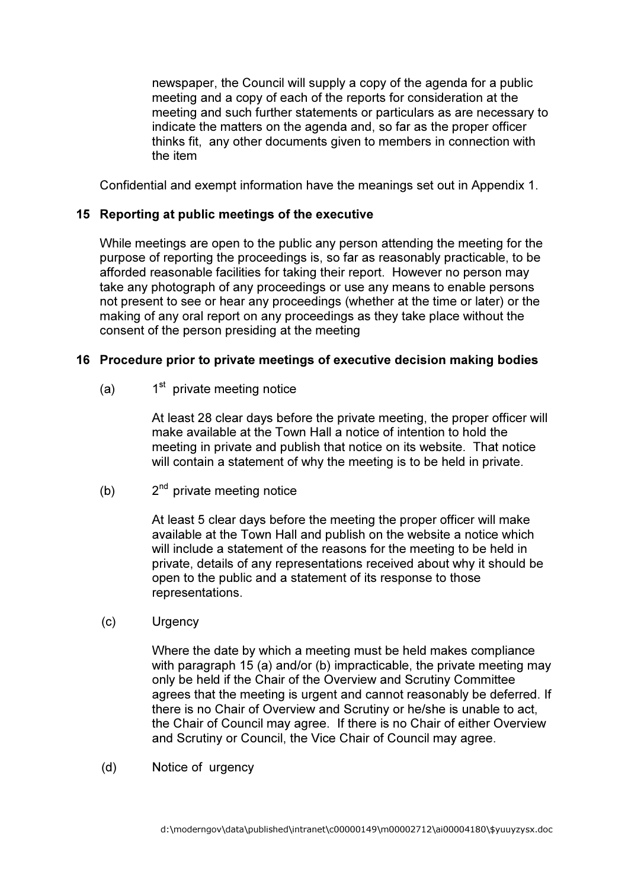newspaper, the Council will supply a copy of the agenda for a public meeting and a copy of each of the reports for consideration at the meeting and such further statements or particulars as are necessary to indicate the matters on the agenda and, so far as the proper officer thinks fit, any other documents given to members in connection with the item

Confidential and exempt information have the meanings set out in Appendix 1.

## 15 Reporting at public meetings of the executive

 While meetings are open to the public any person attending the meeting for the purpose of reporting the proceedings is, so far as reasonably practicable, to be afforded reasonable facilities for taking their report. However no person may take any photograph of any proceedings or use any means to enable persons not present to see or hear any proceedings (whether at the time or later) or the making of any oral report on any proceedings as they take place without the consent of the person presiding at the meeting

## 16 Procedure prior to private meetings of executive decision making bodies

(a)  $1<sup>st</sup>$  private meeting notice

 At least 28 clear days before the private meeting, the proper officer will make available at the Town Hall a notice of intention to hold the meeting in private and publish that notice on its website. That notice will contain a statement of why the meeting is to be held in private.

(b)  $2^{nd}$  private meeting notice

 At least 5 clear days before the meeting the proper officer will make available at the Town Hall and publish on the website a notice which will include a statement of the reasons for the meeting to be held in private, details of any representations received about why it should be open to the public and a statement of its response to those representations.

(c) Urgency

 Where the date by which a meeting must be held makes compliance with paragraph 15 (a) and/or (b) impracticable, the private meeting may only be held if the Chair of the Overview and Scrutiny Committee agrees that the meeting is urgent and cannot reasonably be deferred. If there is no Chair of Overview and Scrutiny or he/she is unable to act, the Chair of Council may agree. If there is no Chair of either Overview and Scrutiny or Council, the Vice Chair of Council may agree.

(d) Notice of urgency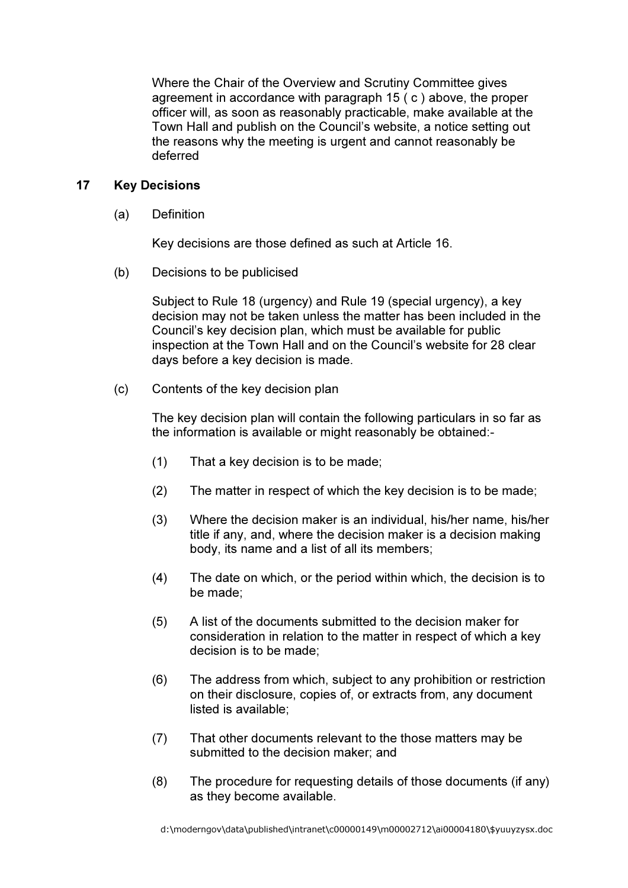Where the Chair of the Overview and Scrutiny Committee gives agreement in accordance with paragraph 15 ( c ) above, the proper officer will, as soon as reasonably practicable, make available at the Town Hall and publish on the Council's website, a notice setting out the reasons why the meeting is urgent and cannot reasonably be deferred

## 17 Key Decisions

(a) Definition

Key decisions are those defined as such at Article 16.

(b) Decisions to be publicised

 Subject to Rule 18 (urgency) and Rule 19 (special urgency), a key decision may not be taken unless the matter has been included in the Council's key decision plan, which must be available for public inspection at the Town Hall and on the Council's website for 28 clear days before a key decision is made.

(c) Contents of the key decision plan

The key decision plan will contain the following particulars in so far as the information is available or might reasonably be obtained:-

- (1) That a key decision is to be made;
- (2) The matter in respect of which the key decision is to be made;
- (3) Where the decision maker is an individual, his/her name, his/her title if any, and, where the decision maker is a decision making body, its name and a list of all its members;
- (4) The date on which, or the period within which, the decision is to be made;
- (5) A list of the documents submitted to the decision maker for consideration in relation to the matter in respect of which a key decision is to be made;
- (6) The address from which, subject to any prohibition or restriction on their disclosure, copies of, or extracts from, any document listed is available;
- (7) That other documents relevant to the those matters may be submitted to the decision maker; and
- (8) The procedure for requesting details of those documents (if any) as they become available.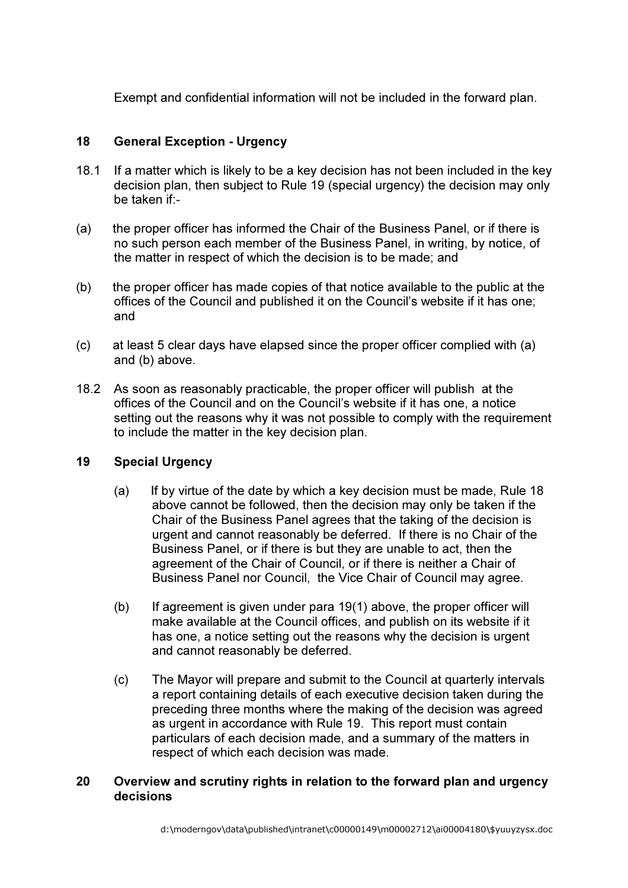Exempt and confidential information will not be included in the forward plan.

# 18 General Exception - Urgency

- 18.1 If a matter which is likely to be a key decision has not been included in the key decision plan, then subject to Rule 19 (special urgency) the decision may only be taken if:-
- (a) the proper officer has informed the Chair of the Business Panel, or if there is no such person each member of the Business Panel, in writing, by notice, of the matter in respect of which the decision is to be made; and
- (b) the proper officer has made copies of that notice available to the public at the offices of the Council and published it on the Council's website if it has one; and
- (c) at least 5 clear days have elapsed since the proper officer complied with (a) and (b) above.
- 18.2 As soon as reasonably practicable, the proper officer will publish at the offices of the Council and on the Council's website if it has one, a notice setting out the reasons why it was not possible to comply with the requirement to include the matter in the key decision plan.

## 19 Special Urgency

- (a) If by virtue of the date by which a key decision must be made, Rule 18 above cannot be followed, then the decision may only be taken if the Chair of the Business Panel agrees that the taking of the decision is urgent and cannot reasonably be deferred. If there is no Chair of the Business Panel, or if there is but they are unable to act, then the agreement of the Chair of Council, or if there is neither a Chair of Business Panel nor Council, the Vice Chair of Council may agree.
- (b) If agreement is given under para 19(1) above, the proper officer will make available at the Council offices, and publish on its website if it has one, a notice setting out the reasons why the decision is urgent and cannot reasonably be deferred.
- (c) The Mayor will prepare and submit to the Council at quarterly intervals a report containing details of each executive decision taken during the preceding three months where the making of the decision was agreed as urgent in accordance with Rule 19. This report must contain particulars of each decision made, and a summary of the matters in respect of which each decision was made.

# 20 Overview and scrutiny rights in relation to the forward plan and urgency decisions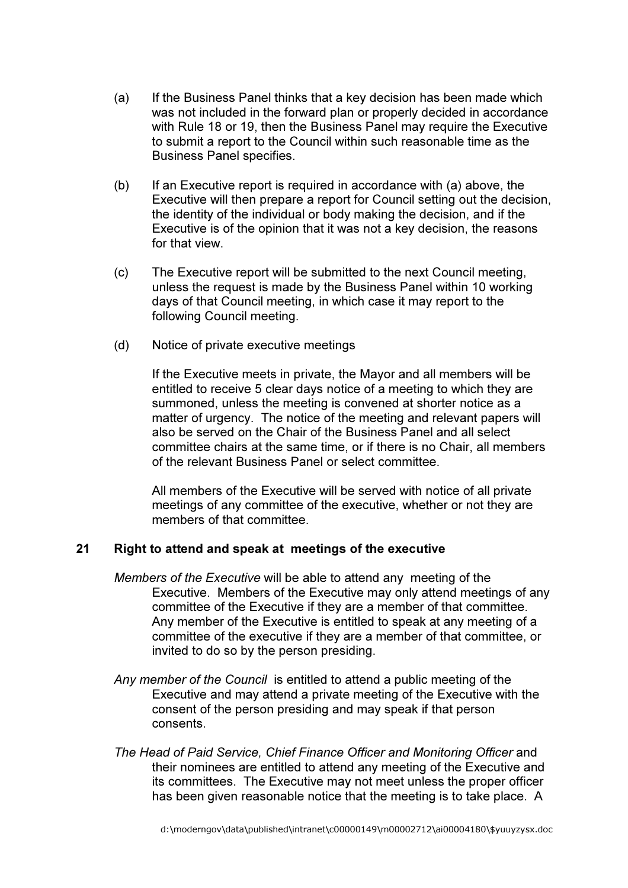- (a) If the Business Panel thinks that a key decision has been made which was not included in the forward plan or properly decided in accordance with Rule 18 or 19, then the Business Panel may require the Executive to submit a report to the Council within such reasonable time as the Business Panel specifies.
- (b) If an Executive report is required in accordance with (a) above, the Executive will then prepare a report for Council setting out the decision, the identity of the individual or body making the decision, and if the Executive is of the opinion that it was not a key decision, the reasons for that view.
- (c) The Executive report will be submitted to the next Council meeting, unless the request is made by the Business Panel within 10 working days of that Council meeting, in which case it may report to the following Council meeting.
- (d) Notice of private executive meetings

If the Executive meets in private, the Mayor and all members will be entitled to receive 5 clear days notice of a meeting to which they are summoned, unless the meeting is convened at shorter notice as a matter of urgency. The notice of the meeting and relevant papers will also be served on the Chair of the Business Panel and all select committee chairs at the same time, or if there is no Chair, all members of the relevant Business Panel or select committee.

All members of the Executive will be served with notice of all private meetings of any committee of the executive, whether or not they are members of that committee.

## 21 Right to attend and speak at meetings of the executive

- Members of the Executive will be able to attend any meeting of the Executive. Members of the Executive may only attend meetings of any committee of the Executive if they are a member of that committee. Any member of the Executive is entitled to speak at any meeting of a committee of the executive if they are a member of that committee, or invited to do so by the person presiding.
- Any member of the Council is entitled to attend a public meeting of the Executive and may attend a private meeting of the Executive with the consent of the person presiding and may speak if that person consents.
- The Head of Paid Service, Chief Finance Officer and Monitoring Officer and their nominees are entitled to attend any meeting of the Executive and its committees. The Executive may not meet unless the proper officer has been given reasonable notice that the meeting is to take place. A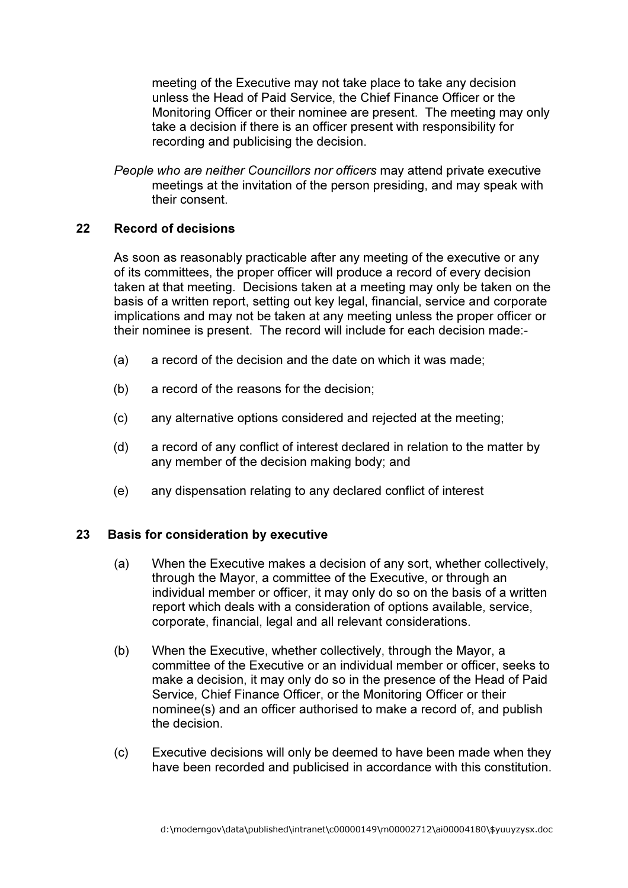meeting of the Executive may not take place to take any decision unless the Head of Paid Service, the Chief Finance Officer or the Monitoring Officer or their nominee are present. The meeting may only take a decision if there is an officer present with responsibility for recording and publicising the decision.

People who are neither Councillors nor officers may attend private executive meetings at the invitation of the person presiding, and may speak with their consent.

## 22 Record of decisions

 As soon as reasonably practicable after any meeting of the executive or any of its committees, the proper officer will produce a record of every decision taken at that meeting. Decisions taken at a meeting may only be taken on the basis of a written report, setting out key legal, financial, service and corporate implications and may not be taken at any meeting unless the proper officer or their nominee is present. The record will include for each decision made:-

- (a) a record of the decision and the date on which it was made;
- (b) a record of the reasons for the decision;
- (c) any alternative options considered and rejected at the meeting;
- (d) a record of any conflict of interest declared in relation to the matter by any member of the decision making body; and
- (e) any dispensation relating to any declared conflict of interest

## 23 Basis for consideration by executive

- (a) When the Executive makes a decision of any sort, whether collectively, through the Mayor, a committee of the Executive, or through an individual member or officer, it may only do so on the basis of a written report which deals with a consideration of options available, service, corporate, financial, legal and all relevant considerations.
- (b) When the Executive, whether collectively, through the Mayor, a committee of the Executive or an individual member or officer, seeks to make a decision, it may only do so in the presence of the Head of Paid Service, Chief Finance Officer, or the Monitoring Officer or their nominee(s) and an officer authorised to make a record of, and publish the decision.
- (c) Executive decisions will only be deemed to have been made when they have been recorded and publicised in accordance with this constitution.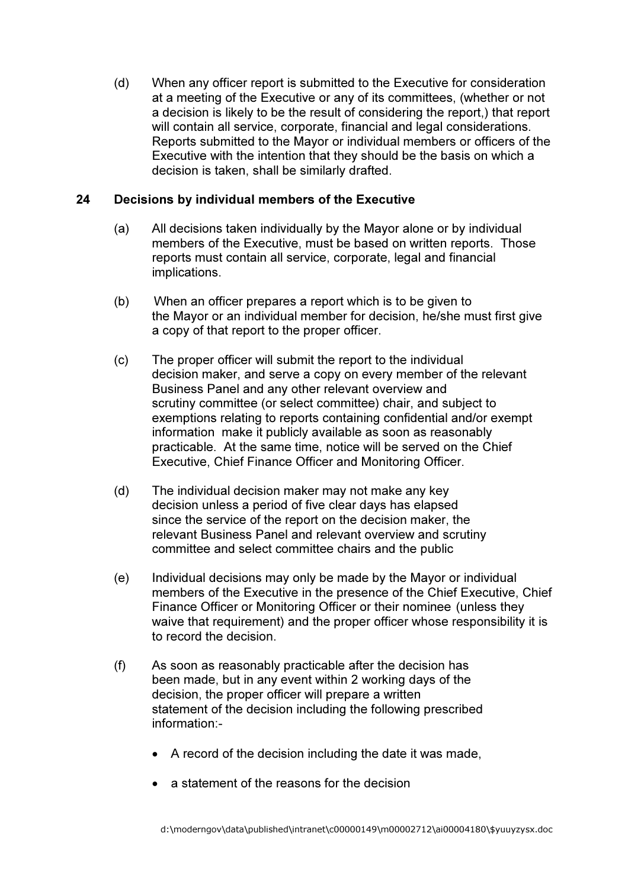(d) When any officer report is submitted to the Executive for consideration at a meeting of the Executive or any of its committees, (whether or not a decision is likely to be the result of considering the report,) that report will contain all service, corporate, financial and legal considerations. Reports submitted to the Mayor or individual members or officers of the Executive with the intention that they should be the basis on which a decision is taken, shall be similarly drafted.

## 24 Decisions by individual members of the Executive

- (a) All decisions taken individually by the Mayor alone or by individual members of the Executive, must be based on written reports. Those reports must contain all service, corporate, legal and financial implications.
- (b) When an officer prepares a report which is to be given to the Mayor or an individual member for decision, he/she must first give a copy of that report to the proper officer.
- (c) The proper officer will submit the report to the individual decision maker, and serve a copy on every member of the relevant Business Panel and any other relevant overview and scrutiny committee (or select committee) chair, and subject to exemptions relating to reports containing confidential and/or exempt information make it publicly available as soon as reasonably practicable. At the same time, notice will be served on the Chief Executive, Chief Finance Officer and Monitoring Officer.
- (d) The individual decision maker may not make any key decision unless a period of five clear days has elapsed since the service of the report on the decision maker, the relevant Business Panel and relevant overview and scrutiny committee and select committee chairs and the public
- (e) Individual decisions may only be made by the Mayor or individual members of the Executive in the presence of the Chief Executive, Chief Finance Officer or Monitoring Officer or their nominee (unless they waive that requirement) and the proper officer whose responsibility it is to record the decision.
- (f) As soon as reasonably practicable after the decision has been made, but in any event within 2 working days of the decision, the proper officer will prepare a written statement of the decision including the following prescribed information:-
	- A record of the decision including the date it was made,
	- a statement of the reasons for the decision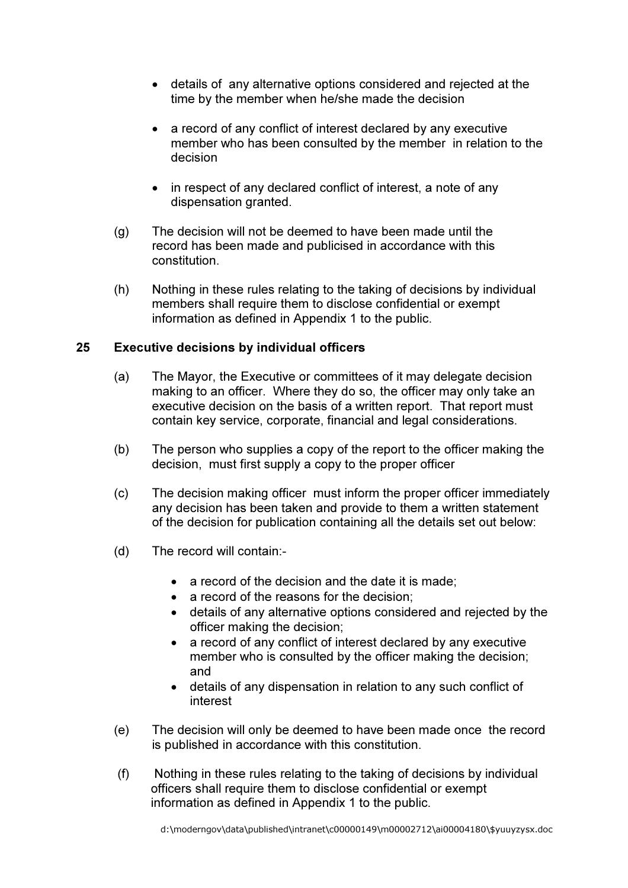- details of any alternative options considered and rejected at the time by the member when he/she made the decision
- a record of any conflict of interest declared by any executive member who has been consulted by the member in relation to the decision
- in respect of any declared conflict of interest, a note of any dispensation granted.
- (g) The decision will not be deemed to have been made until the record has been made and publicised in accordance with this constitution.
- (h) Nothing in these rules relating to the taking of decisions by individual members shall require them to disclose confidential or exempt information as defined in Appendix 1 to the public.

### 25 Executive decisions by individual officers

- (a) The Mayor, the Executive or committees of it may delegate decision making to an officer. Where they do so, the officer may only take an executive decision on the basis of a written report. That report must contain key service, corporate, financial and legal considerations.
- (b) The person who supplies a copy of the report to the officer making the decision, must first supply a copy to the proper officer
- (c) The decision making officer must inform the proper officer immediately any decision has been taken and provide to them a written statement of the decision for publication containing all the details set out below:
- (d) The record will contain:-
	- a record of the decision and the date it is made;
	- a record of the reasons for the decision:
	- details of any alternative options considered and rejected by the officer making the decision;
	- a record of any conflict of interest declared by any executive member who is consulted by the officer making the decision; and
	- details of any dispensation in relation to any such conflict of interest
- (e) The decision will only be deemed to have been made once the record is published in accordance with this constitution.
- (f) Nothing in these rules relating to the taking of decisions by individual officers shall require them to disclose confidential or exempt information as defined in Appendix 1 to the public.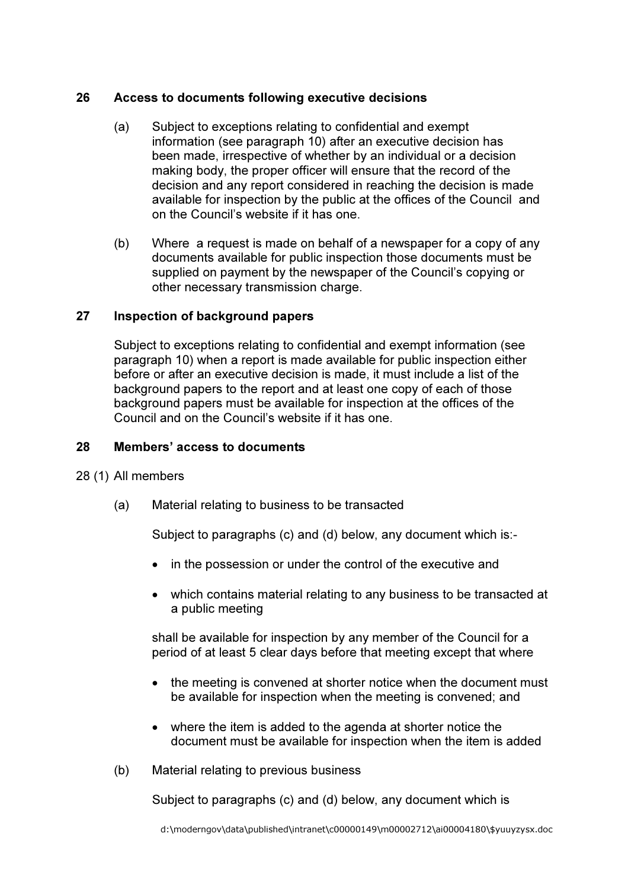## 26 Access to documents following executive decisions

- (a) Subject to exceptions relating to confidential and exempt information (see paragraph 10) after an executive decision has been made, irrespective of whether by an individual or a decision making body, the proper officer will ensure that the record of the decision and any report considered in reaching the decision is made available for inspection by the public at the offices of the Council and on the Council's website if it has one.
- (b) Where a request is made on behalf of a newspaper for a copy of any documents available for public inspection those documents must be supplied on payment by the newspaper of the Council's copying or other necessary transmission charge.

### 27 Inspection of background papers

 Subject to exceptions relating to confidential and exempt information (see paragraph 10) when a report is made available for public inspection either before or after an executive decision is made, it must include a list of the background papers to the report and at least one copy of each of those background papers must be available for inspection at the offices of the Council and on the Council's website if it has one.

#### 28 Members' access to documents

#### 28 (1) All members

(a) Material relating to business to be transacted

Subject to paragraphs (c) and (d) below, any document which is:-

- in the possession or under the control of the executive and
- which contains material relating to any business to be transacted at a public meeting

 shall be available for inspection by any member of the Council for a period of at least 5 clear days before that meeting except that where

- the meeting is convened at shorter notice when the document must be available for inspection when the meeting is convened; and
- where the item is added to the agenda at shorter notice the document must be available for inspection when the item is added
- (b) Material relating to previous business

Subject to paragraphs (c) and (d) below, any document which is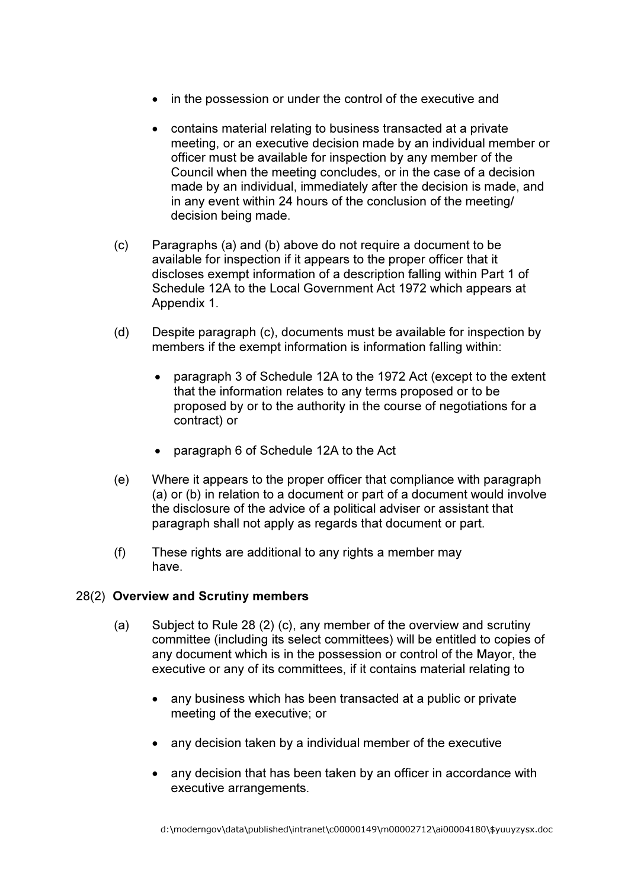- in the possession or under the control of the executive and
- contains material relating to business transacted at a private meeting, or an executive decision made by an individual member or officer must be available for inspection by any member of the Council when the meeting concludes, or in the case of a decision made by an individual, immediately after the decision is made, and in any event within 24 hours of the conclusion of the meeting/ decision being made.
- (c) Paragraphs (a) and (b) above do not require a document to be available for inspection if it appears to the proper officer that it discloses exempt information of a description falling within Part 1 of Schedule 12A to the Local Government Act 1972 which appears at Appendix 1.
- (d) Despite paragraph (c), documents must be available for inspection by members if the exempt information is information falling within:
	- paragraph 3 of Schedule 12A to the 1972 Act (except to the extent that the information relates to any terms proposed or to be proposed by or to the authority in the course of negotiations for a contract) or
	- paragraph 6 of Schedule 12A to the Act
- (e) Where it appears to the proper officer that compliance with paragraph (a) or (b) in relation to a document or part of a document would involve the disclosure of the advice of a political adviser or assistant that paragraph shall not apply as regards that document or part.
- (f) These rights are additional to any rights a member may have.

## 28(2) Overview and Scrutiny members

- (a) Subject to Rule 28 (2) (c), any member of the overview and scrutiny committee (including its select committees) will be entitled to copies of any document which is in the possession or control of the Mayor, the executive or any of its committees, if it contains material relating to
	- any business which has been transacted at a public or private meeting of the executive; or
	- any decision taken by a individual member of the executive
	- any decision that has been taken by an officer in accordance with executive arrangements.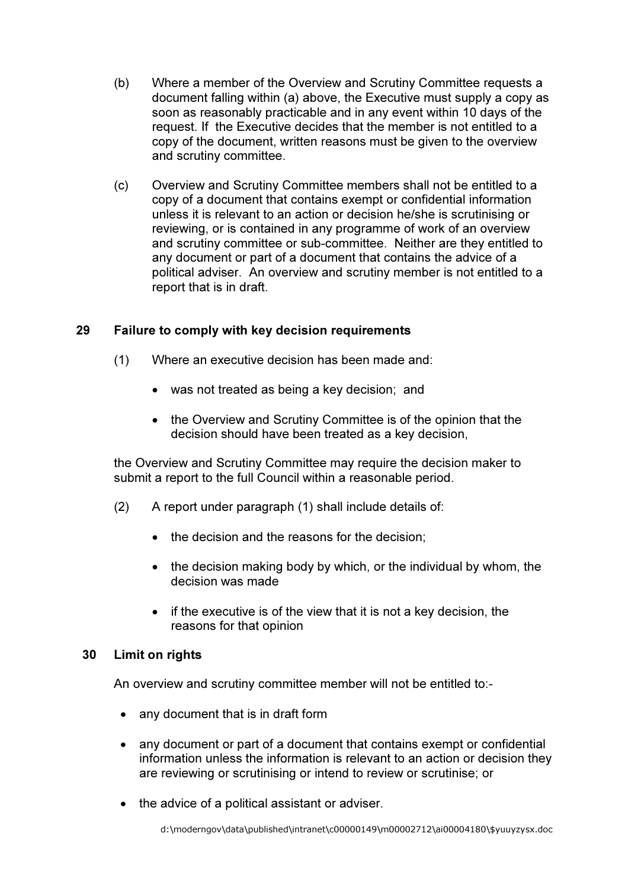- (b) Where a member of the Overview and Scrutiny Committee requests a document falling within (a) above, the Executive must supply a copy as soon as reasonably practicable and in any event within 10 days of the request. If the Executive decides that the member is not entitled to a copy of the document, written reasons must be given to the overview and scrutiny committee.
- (c) Overview and Scrutiny Committee members shall not be entitled to a copy of a document that contains exempt or confidential information unless it is relevant to an action or decision he/she is scrutinising or reviewing, or is contained in any programme of work of an overview and scrutiny committee or sub-committee. Neither are they entitled to any document or part of a document that contains the advice of a political adviser. An overview and scrutiny member is not entitled to a report that is in draft.

# 29 Failure to comply with key decision requirements

- (1) Where an executive decision has been made and:
	- was not treated as being a key decision; and
	- the Overview and Scrutiny Committee is of the opinion that the decision should have been treated as a key decision,

the Overview and Scrutiny Committee may require the decision maker to submit a report to the full Council within a reasonable period.

- (2) A report under paragraph (1) shall include details of:
	- the decision and the reasons for the decision;
	- the decision making body by which, or the individual by whom, the decision was made
	- if the executive is of the view that it is not a key decision, the reasons for that opinion

## 30 Limit on rights

An overview and scrutiny committee member will not be entitled to:-

- any document that is in draft form
- any document or part of a document that contains exempt or confidential information unless the information is relevant to an action or decision they are reviewing or scrutinising or intend to review or scrutinise; or
- the advice of a political assistant or adviser.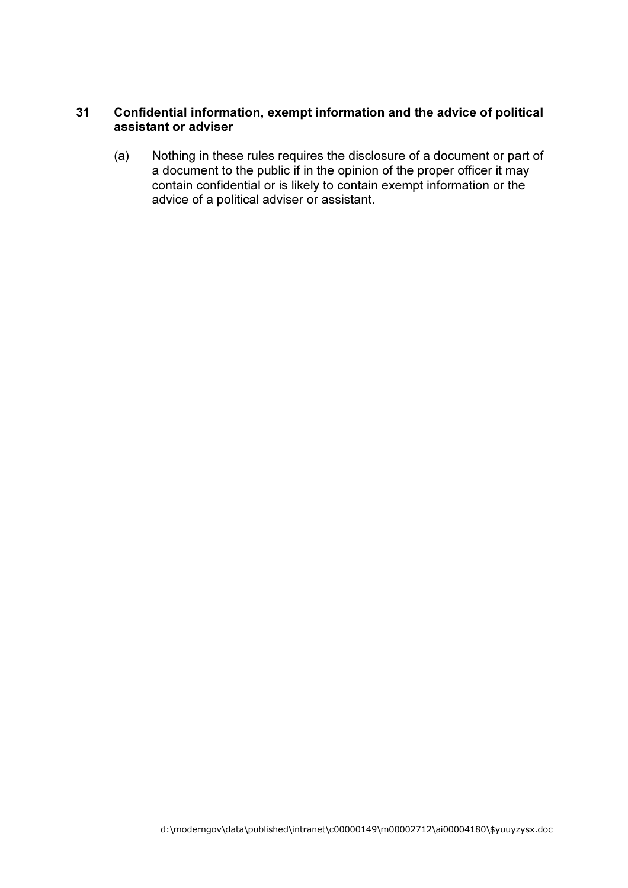# 31 Confidential information, exempt information and the advice of political assistant or adviser

(a) Nothing in these rules requires the disclosure of a document or part of a document to the public if in the opinion of the proper officer it may contain confidential or is likely to contain exempt information or the advice of a political adviser or assistant.